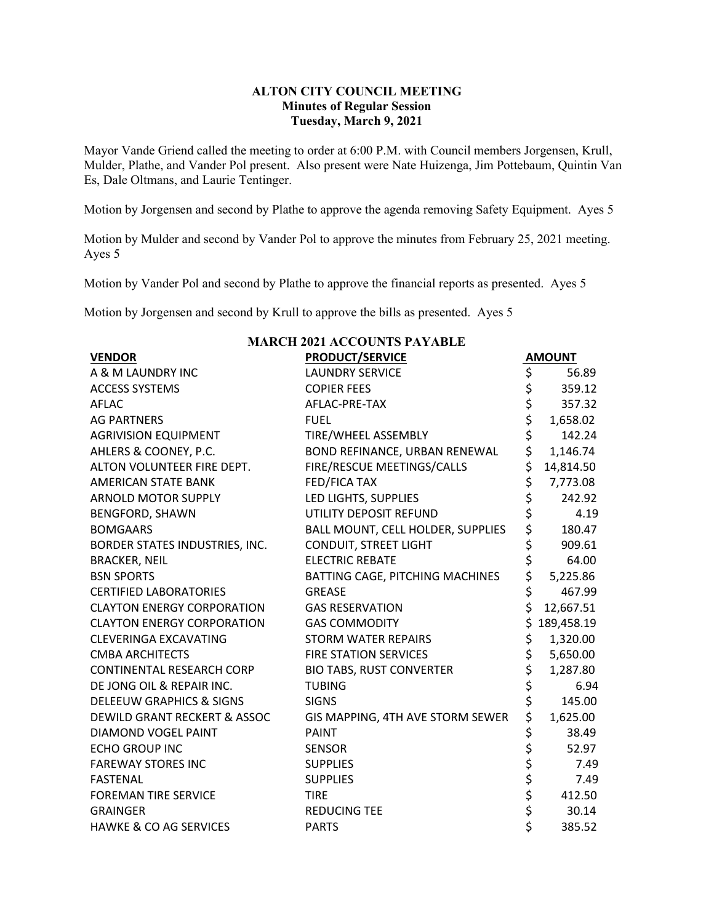# **ALTON CITY COUNCIL MEETING Minutes of Regular Session Tuesday, March 9, 2021**

Mayor Vande Griend called the meeting to order at 6:00 P.M. with Council members Jorgensen, Krull, Mulder, Plathe, and Vander Pol present. Also present were Nate Huizenga, Jim Pottebaum, Quintin Van Es, Dale Oltmans, and Laurie Tentinger.

Motion by Jorgensen and second by Plathe to approve the agenda removing Safety Equipment. Ayes 5

Motion by Mulder and second by Vander Pol to approve the minutes from February 25, 2021 meeting. Ayes 5

Motion by Vander Pol and second by Plathe to approve the financial reports as presented. Ayes 5

Motion by Jorgensen and second by Krull to approve the bills as presented. Ayes 5

| <b>MARCH 2021 ACCOUNTS PAYABLE</b>      |                                   |          |               |  |  |  |  |
|-----------------------------------------|-----------------------------------|----------|---------------|--|--|--|--|
| <b>VENDOR</b>                           | <b>PRODUCT/SERVICE</b>            |          | <b>AMOUNT</b> |  |  |  |  |
| A & M LAUNDRY INC                       | <b>LAUNDRY SERVICE</b>            | \$       | 56.89         |  |  |  |  |
| <b>ACCESS SYSTEMS</b>                   | <b>COPIER FEES</b>                |          | 359.12        |  |  |  |  |
| <b>AFLAC</b>                            | AFLAC-PRE-TAX                     | \$\$\$   | 357.32        |  |  |  |  |
| <b>AG PARTNERS</b>                      | <b>FUEL</b>                       |          | 1,658.02      |  |  |  |  |
| <b>AGRIVISION EQUIPMENT</b>             | <b>TIRE/WHEEL ASSEMBLY</b>        | \$       | 142.24        |  |  |  |  |
| AHLERS & COONEY, P.C.                   | BOND REFINANCE, URBAN RENEWAL     | \$       | 1,146.74      |  |  |  |  |
| ALTON VOLUNTEER FIRE DEPT.              | FIRE/RESCUE MEETINGS/CALLS        | \$       | 14,814.50     |  |  |  |  |
| <b>AMERICAN STATE BANK</b>              | <b>FED/FICA TAX</b>               | \$       | 7,773.08      |  |  |  |  |
| <b>ARNOLD MOTOR SUPPLY</b>              | LED LIGHTS, SUPPLIES              | \$       | 242.92        |  |  |  |  |
| <b>BENGFORD, SHAWN</b>                  | UTILITY DEPOSIT REFUND            | \$       | 4.19          |  |  |  |  |
| <b>BOMGAARS</b>                         | BALL MOUNT, CELL HOLDER, SUPPLIES |          | 180.47        |  |  |  |  |
| BORDER STATES INDUSTRIES, INC.          | CONDUIT, STREET LIGHT             |          | 909.61        |  |  |  |  |
| <b>BRACKER, NEIL</b>                    | <b>ELECTRIC REBATE</b>            | \$\$\$\$ | 64.00         |  |  |  |  |
| <b>BSN SPORTS</b>                       | BATTING CAGE, PITCHING MACHINES   |          | 5,225.86      |  |  |  |  |
| <b>CERTIFIED LABORATORIES</b>           | <b>GREASE</b>                     | \$       | 467.99        |  |  |  |  |
| <b>CLAYTON ENERGY CORPORATION</b>       | <b>GAS RESERVATION</b>            | \$       | 12,667.51     |  |  |  |  |
| <b>CLAYTON ENERGY CORPORATION</b>       | <b>GAS COMMODITY</b>              | \$       | 189,458.19    |  |  |  |  |
| <b>CLEVERINGA EXCAVATING</b>            | <b>STORM WATER REPAIRS</b>        | \$       | 1,320.00      |  |  |  |  |
| <b>CMBA ARCHITECTS</b>                  | <b>FIRE STATION SERVICES</b>      | \$       | 5,650.00      |  |  |  |  |
| <b>CONTINENTAL RESEARCH CORP</b>        | <b>BIO TABS, RUST CONVERTER</b>   | \$       | 1,287.80      |  |  |  |  |
| DE JONG OIL & REPAIR INC.               | <b>TUBING</b>                     | \$       | 6.94          |  |  |  |  |
| DELEEUW GRAPHICS & SIGNS                | <b>SIGNS</b>                      | \$       | 145.00        |  |  |  |  |
| <b>DEWILD GRANT RECKERT &amp; ASSOC</b> | GIS MAPPING, 4TH AVE STORM SEWER  | \$       | 1,625.00      |  |  |  |  |
| DIAMOND VOGEL PAINT                     | <b>PAINT</b>                      | \$       | 38.49         |  |  |  |  |
| <b>ECHO GROUP INC</b>                   | <b>SENSOR</b>                     | \$       | 52.97         |  |  |  |  |
| <b>FAREWAY STORES INC</b>               | <b>SUPPLIES</b>                   | \$\$\$   | 7.49          |  |  |  |  |
| <b>FASTENAL</b>                         | <b>SUPPLIES</b>                   |          | 7.49          |  |  |  |  |
| <b>FOREMAN TIRE SERVICE</b>             | <b>TIRE</b>                       |          | 412.50        |  |  |  |  |
| <b>GRAINGER</b>                         | <b>REDUCING TEE</b>               | \$<br>\$ | 30.14         |  |  |  |  |
| <b>HAWKE &amp; CO AG SERVICES</b>       | <b>PARTS</b>                      |          | 385.52        |  |  |  |  |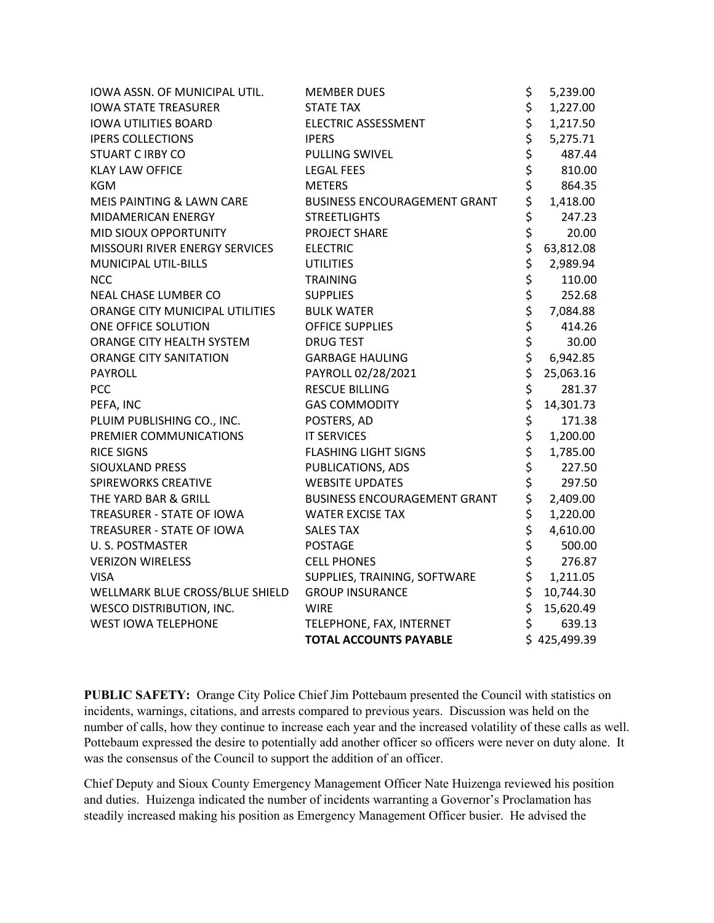| IOWA ASSN. OF MUNICIPAL UTIL.   | <b>MEMBER DUES</b>                  | \$             | 5,239.00   |
|---------------------------------|-------------------------------------|----------------|------------|
| <b>IOWA STATE TREASURER</b>     | <b>STATE TAX</b>                    |                | 1,227.00   |
| <b>IOWA UTILITIES BOARD</b>     | ELECTRIC ASSESSMENT                 |                | 1,217.50   |
| <b>IPERS COLLECTIONS</b>        | <b>IPERS</b>                        |                | 5,275.71   |
| <b>STUART C IRBY CO</b>         | <b>PULLING SWIVEL</b>               |                | 487.44     |
| <b>KLAY LAW OFFICE</b>          | <b>LEGAL FEES</b>                   |                | 810.00     |
| <b>KGM</b>                      | <b>METERS</b>                       |                | 864.35     |
| MEIS PAINTING & LAWN CARE       | BUSINESS ENCOURAGEMENT GRANT        |                | 1,418.00   |
| MIDAMERICAN ENERGY              | <b>STREETLIGHTS</b>                 |                | 247.23     |
| MID SIOUX OPPORTUNITY           | PROJECT SHARE                       |                | 20.00      |
| MISSOURI RIVER ENERGY SERVICES  | <b>ELECTRIC</b>                     |                | 63,812.08  |
| MUNICIPAL UTIL-BILLS            | <b>UTILITIES</b>                    |                | 2,989.94   |
| <b>NCC</b>                      | <b>TRAINING</b>                     | さささささささささ      | 110.00     |
| NEAL CHASE LUMBER CO            | <b>SUPPLIES</b>                     |                | 252.68     |
| ORANGE CITY MUNICIPAL UTILITIES | <b>BULK WATER</b>                   |                | 7,084.88   |
| ONE OFFICE SOLUTION             | <b>OFFICE SUPPLIES</b>              | \$             | 414.26     |
| ORANGE CITY HEALTH SYSTEM       | <b>DRUG TEST</b>                    | \$<br>\$<br>\$ | 30.00      |
| <b>ORANGE CITY SANITATION</b>   | <b>GARBAGE HAULING</b>              |                | 6,942.85   |
| PAYROLL                         | PAYROLL 02/28/2021                  |                | 25,063.16  |
| <b>PCC</b>                      | <b>RESCUE BILLING</b>               |                | 281.37     |
| PEFA, INC                       | <b>GAS COMMODITY</b>                | ぐぐぐ ぐぐぐ        | 14,301.73  |
| PLUIM PUBLISHING CO., INC.      | POSTERS, AD                         |                | 171.38     |
| PREMIER COMMUNICATIONS          | <b>IT SERVICES</b>                  |                | 1,200.00   |
| <b>RICE SIGNS</b>               | <b>FLASHING LIGHT SIGNS</b>         |                | 1,785.00   |
| SIOUXLAND PRESS                 | PUBLICATIONS, ADS                   |                | 227.50     |
| <b>SPIREWORKS CREATIVE</b>      | <b>WEBSITE UPDATES</b>              |                | 297.50     |
| THE YARD BAR & GRILL            | <b>BUSINESS ENCOURAGEMENT GRANT</b> |                | 2,409.00   |
| TREASURER - STATE OF IOWA       | <b>WATER EXCISE TAX</b>             | \$<br>\$       | 1,220.00   |
| TREASURER - STATE OF IOWA       | <b>SALES TAX</b>                    |                | 4,610.00   |
| <b>U.S. POSTMASTER</b>          | <b>POSTAGE</b>                      | \$<br>\$       | 500.00     |
| <b>VERIZON WIRELESS</b>         | <b>CELL PHONES</b>                  |                | 276.87     |
| <b>VISA</b>                     | SUPPLIES, TRAINING, SOFTWARE        | \$             | 1,211.05   |
| WELLMARK BLUE CROSS/BLUE SHIELD | <b>GROUP INSURANCE</b>              | \$             | 10,744.30  |
| <b>WESCO DISTRIBUTION, INC.</b> | <b>WIRE</b>                         | \$             | 15,620.49  |
| <b>WEST IOWA TELEPHONE</b>      | TELEPHONE, FAX, INTERNET            | \$             | 639.13     |
|                                 | <b>TOTAL ACCOUNTS PAYABLE</b>       |                | 425,499.39 |

**PUBLIC SAFETY:** Orange City Police Chief Jim Pottebaum presented the Council with statistics on incidents, warnings, citations, and arrests compared to previous years. Discussion was held on the number of calls, how they continue to increase each year and the increased volatility of these calls as well. Pottebaum expressed the desire to potentially add another officer so officers were never on duty alone. It was the consensus of the Council to support the addition of an officer.

Chief Deputy and Sioux County Emergency Management Officer Nate Huizenga reviewed his position and duties. Huizenga indicated the number of incidents warranting a Governor's Proclamation has steadily increased making his position as Emergency Management Officer busier. He advised the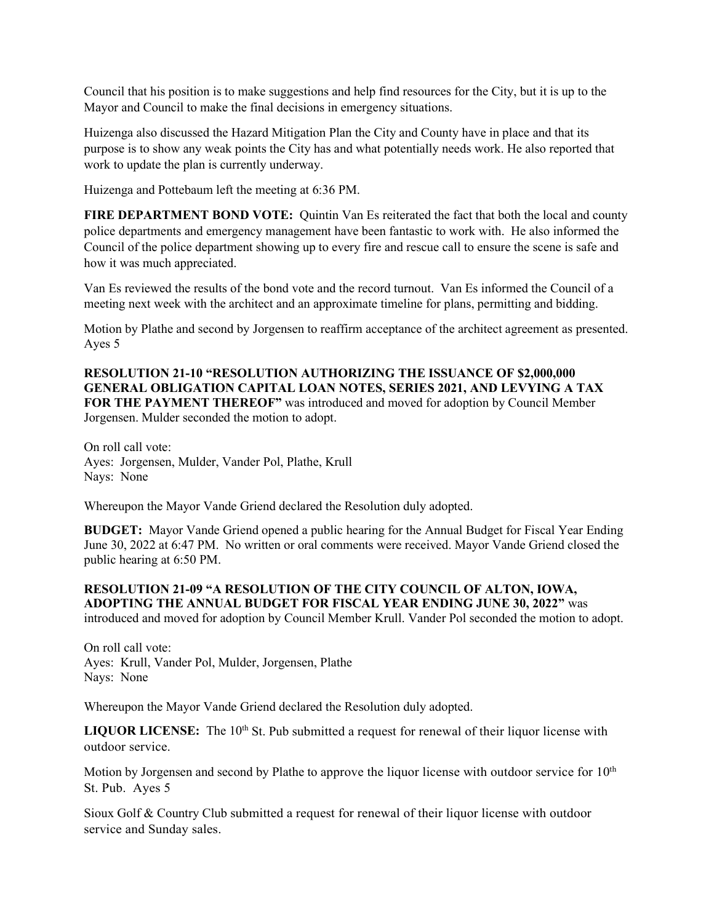Council that his position is to make suggestions and help find resources for the City, but it is up to the Mayor and Council to make the final decisions in emergency situations.

Huizenga also discussed the Hazard Mitigation Plan the City and County have in place and that its purpose is to show any weak points the City has and what potentially needs work. He also reported that work to update the plan is currently underway.

Huizenga and Pottebaum left the meeting at 6:36 PM.

**FIRE DEPARTMENT BOND VOTE:** Quintin Van Es reiterated the fact that both the local and county police departments and emergency management have been fantastic to work with. He also informed the Council of the police department showing up to every fire and rescue call to ensure the scene is safe and how it was much appreciated.

Van Es reviewed the results of the bond vote and the record turnout. Van Es informed the Council of a meeting next week with the architect and an approximate timeline for plans, permitting and bidding.

Motion by Plathe and second by Jorgensen to reaffirm acceptance of the architect agreement as presented. Ayes 5

**RESOLUTION 21-10 "RESOLUTION AUTHORIZING THE ISSUANCE OF \$2,000,000 GENERAL OBLIGATION CAPITAL LOAN NOTES, SERIES 2021, AND LEVYING A TAX FOR THE PAYMENT THEREOF"** was introduced and moved for adoption by Council Member Jorgensen. Mulder seconded the motion to adopt.

On roll call vote: Ayes: Jorgensen, Mulder, Vander Pol, Plathe, Krull Nays: None

Whereupon the Mayor Vande Griend declared the Resolution duly adopted.

**BUDGET:** Mayor Vande Griend opened a public hearing for the Annual Budget for Fiscal Year Ending June 30, 2022 at 6:47 PM. No written or oral comments were received. Mayor Vande Griend closed the public hearing at 6:50 PM.

### **RESOLUTION 21-09 "A RESOLUTION OF THE CITY COUNCIL OF ALTON, IOWA, ADOPTING THE ANNUAL BUDGET FOR FISCAL YEAR ENDING JUNE 30, 2022"** was introduced and moved for adoption by Council Member Krull. Vander Pol seconded the motion to adopt.

On roll call vote: Ayes: Krull, Vander Pol, Mulder, Jorgensen, Plathe Nays: None

Whereupon the Mayor Vande Griend declared the Resolution duly adopted.

LIQUOR LICENSE: The 10<sup>th</sup> St. Pub submitted a request for renewal of their liquor license with outdoor service.

Motion by Jorgensen and second by Plathe to approve the liquor license with outdoor service for  $10<sup>th</sup>$ St. Pub. Ayes 5

Sioux Golf & Country Club submitted a request for renewal of their liquor license with outdoor service and Sunday sales.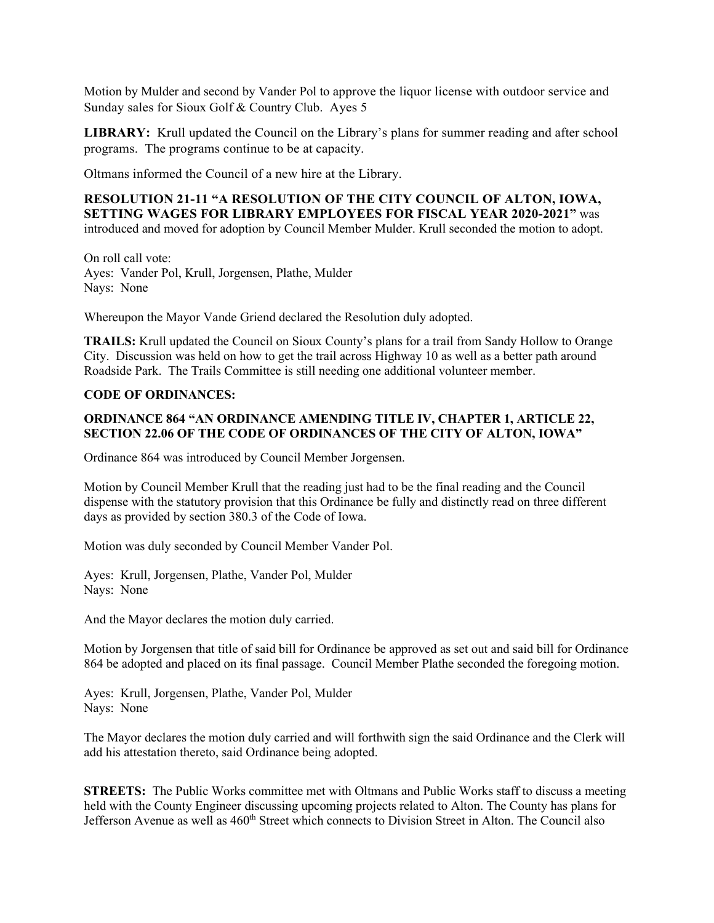Motion by Mulder and second by Vander Pol to approve the liquor license with outdoor service and Sunday sales for Sioux Golf & Country Club. Ayes 5

**LIBRARY:** Krull updated the Council on the Library's plans for summer reading and after school programs. The programs continue to be at capacity.

Oltmans informed the Council of a new hire at the Library.

**RESOLUTION 21-11 "A RESOLUTION OF THE CITY COUNCIL OF ALTON, IOWA, SETTING WAGES FOR LIBRARY EMPLOYEES FOR FISCAL YEAR 2020-2021"** was introduced and moved for adoption by Council Member Mulder. Krull seconded the motion to adopt.

On roll call vote: Ayes: Vander Pol, Krull, Jorgensen, Plathe, Mulder Nays: None

Whereupon the Mayor Vande Griend declared the Resolution duly adopted.

**TRAILS:** Krull updated the Council on Sioux County's plans for a trail from Sandy Hollow to Orange City. Discussion was held on how to get the trail across Highway 10 as well as a better path around Roadside Park. The Trails Committee is still needing one additional volunteer member.

# **CODE OF ORDINANCES:**

# **ORDINANCE 864 "AN ORDINANCE AMENDING TITLE IV, CHAPTER 1, ARTICLE 22, SECTION 22.06 OF THE CODE OF ORDINANCES OF THE CITY OF ALTON, IOWA"**

Ordinance 864 was introduced by Council Member Jorgensen.

Motion by Council Member Krull that the reading just had to be the final reading and the Council dispense with the statutory provision that this Ordinance be fully and distinctly read on three different days as provided by section 380.3 of the Code of Iowa.

Motion was duly seconded by Council Member Vander Pol.

Ayes: Krull, Jorgensen, Plathe, Vander Pol, Mulder Nays: None

And the Mayor declares the motion duly carried.

Motion by Jorgensen that title of said bill for Ordinance be approved as set out and said bill for Ordinance 864 be adopted and placed on its final passage. Council Member Plathe seconded the foregoing motion.

Ayes: Krull, Jorgensen, Plathe, Vander Pol, Mulder Nays: None

The Mayor declares the motion duly carried and will forthwith sign the said Ordinance and the Clerk will add his attestation thereto, said Ordinance being adopted.

**STREETS:** The Public Works committee met with Oltmans and Public Works staff to discuss a meeting held with the County Engineer discussing upcoming projects related to Alton. The County has plans for Jefferson Avenue as well as 460<sup>th</sup> Street which connects to Division Street in Alton. The Council also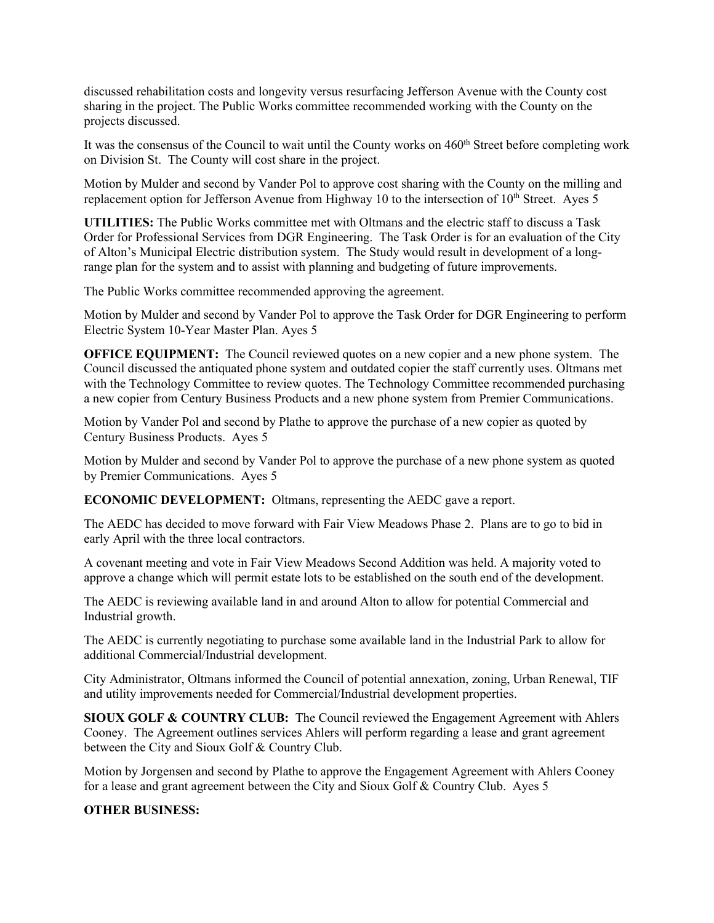discussed rehabilitation costs and longevity versus resurfacing Jefferson Avenue with the County cost sharing in the project. The Public Works committee recommended working with the County on the projects discussed.

It was the consensus of the Council to wait until the County works on 460<sup>th</sup> Street before completing work on Division St. The County will cost share in the project.

Motion by Mulder and second by Vander Pol to approve cost sharing with the County on the milling and replacement option for Jefferson Avenue from Highway 10 to the intersection of  $10<sup>th</sup>$  Street. Ayes 5

**UTILITIES:** The Public Works committee met with Oltmans and the electric staff to discuss a Task Order for Professional Services from DGR Engineering. The Task Order is for an evaluation of the City of Alton's Municipal Electric distribution system. The Study would result in development of a longrange plan for the system and to assist with planning and budgeting of future improvements.

The Public Works committee recommended approving the agreement.

Motion by Mulder and second by Vander Pol to approve the Task Order for DGR Engineering to perform Electric System 10-Year Master Plan. Ayes 5

**OFFICE EQUIPMENT:** The Council reviewed quotes on a new copier and a new phone system. The Council discussed the antiquated phone system and outdated copier the staff currently uses. Oltmans met with the Technology Committee to review quotes. The Technology Committee recommended purchasing a new copier from Century Business Products and a new phone system from Premier Communications.

Motion by Vander Pol and second by Plathe to approve the purchase of a new copier as quoted by Century Business Products. Ayes 5

Motion by Mulder and second by Vander Pol to approve the purchase of a new phone system as quoted by Premier Communications. Ayes 5

**ECONOMIC DEVELOPMENT:** Oltmans, representing the AEDC gave a report.

The AEDC has decided to move forward with Fair View Meadows Phase 2. Plans are to go to bid in early April with the three local contractors.

A covenant meeting and vote in Fair View Meadows Second Addition was held. A majority voted to approve a change which will permit estate lots to be established on the south end of the development.

The AEDC is reviewing available land in and around Alton to allow for potential Commercial and Industrial growth.

The AEDC is currently negotiating to purchase some available land in the Industrial Park to allow for additional Commercial/Industrial development.

City Administrator, Oltmans informed the Council of potential annexation, zoning, Urban Renewal, TIF and utility improvements needed for Commercial/Industrial development properties.

**SIOUX GOLF & COUNTRY CLUB:** The Council reviewed the Engagement Agreement with Ahlers Cooney. The Agreement outlines services Ahlers will perform regarding a lease and grant agreement between the City and Sioux Golf & Country Club.

Motion by Jorgensen and second by Plathe to approve the Engagement Agreement with Ahlers Cooney for a lease and grant agreement between the City and Sioux Golf & Country Club. Ayes 5

# **OTHER BUSINESS:**